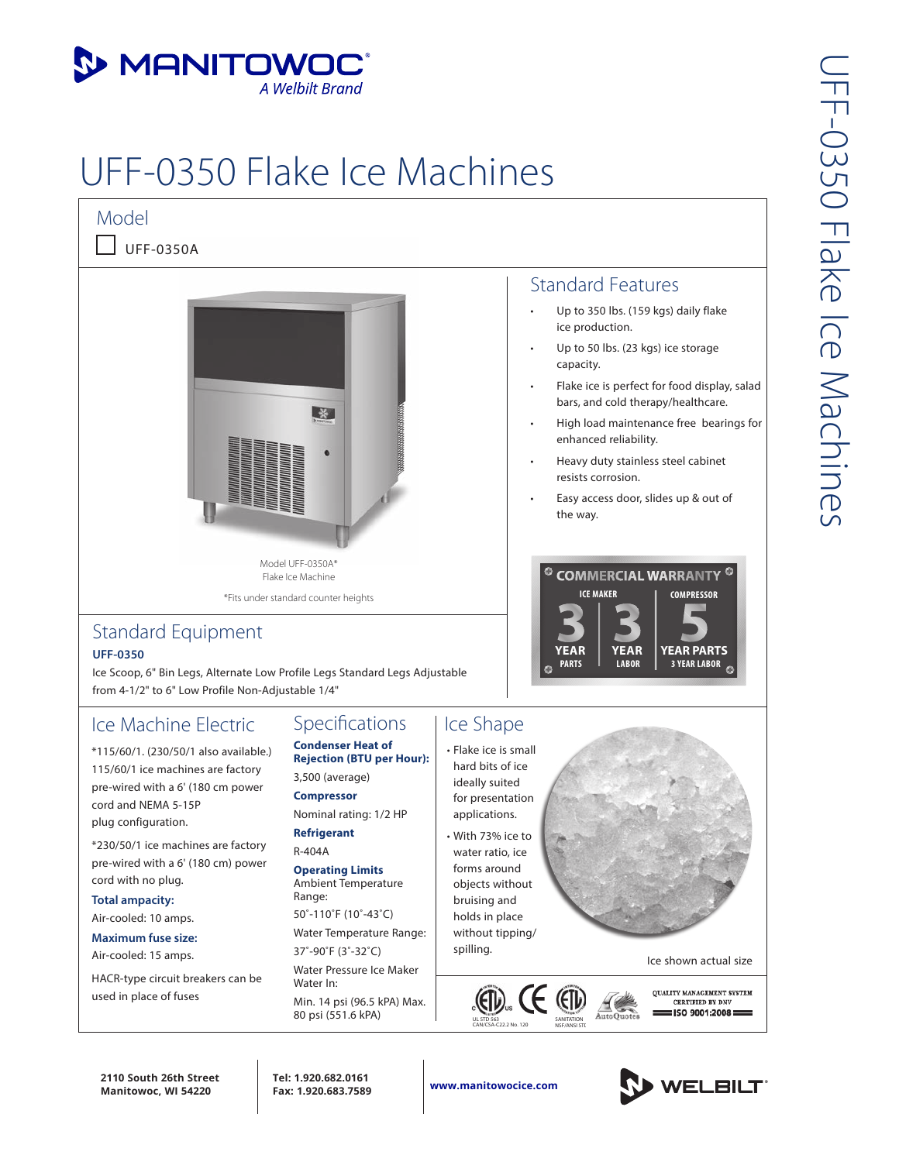

# UFF-0350 Flake Ice Machines



 $\Box$  UFF-0350A



\*Fits under standard counter heights

### Standard Equipment **UFF-0350**

Ice Scoop, 6" Bin Legs, Alternate Low Profile Legs Standard Legs Adjustable from 4-1/2" to 6" Low Profile Non-Adjustable 1/4"

# Ice Machine Electric

\*115/60/1. (230/50/1 also available.) 115/60/1 ice machines are factory pre-wired with a 6' (180 cm power cord and NEMA 5-15P plug configuration.

\*230/50/1 ice machines are factory pre-wired with a 6' (180 cm) power cord with no plug.

**Total ampacity:** 

Air-cooled: 10 amps.

**Maximum fuse size:**  Air-cooled: 15 amps.

HACR-type circuit breakers can be used in place of fuses

#### Specifications **Condenser Heat of**

**Rejection (BTU per Hour):**  3,500 (average)

**Compressor** Nominal rating: 1/2 HP

**Refrigerant** R-404A

**Operating Limits** Ambient Temperature Range:

50˚-110˚F (10˚-43˚C)

Water Temperature Range:

37˚-90˚F (3˚-32˚C) Water Pressure Ice Maker Water In:

Min. 14 psi (96.5 kPA) Max. 80 psi (551.6 kPA)

## Ice Shape

• Flake ice is small hard bits of ice ideally suited for presentation applications. • With 73% ice to water ratio, ice forms around objects without bruising and holds in place without tipping/ spilling.



- ice production.
- Up to 50 lbs. (23 kgs) ice storage capacity.
- Flake ice is perfect for food display, salad bars, and cold therapy/healthcare.
- High load maintenance free bearings for enhanced reliability.
- Heavy duty stainless steel cabinet resists corrosion.
- Easy access door, slides up & out of the way.





Ice shown actual size

**OUALITY MANAGEMENT SYSTEM CERTIFIED BY DNV** : ISO 9001:2008

**2110 South 26th Street Manitowoc, WI 54220**

**Tel: 1.920.682.0161**

**Fax: 1.920.683.7589 www.manitowocice.com**

UL STD 563

 $(H)$ 

CAN/CSA-C22.2 No. 120 SANITATION

NSF/ANSI STE